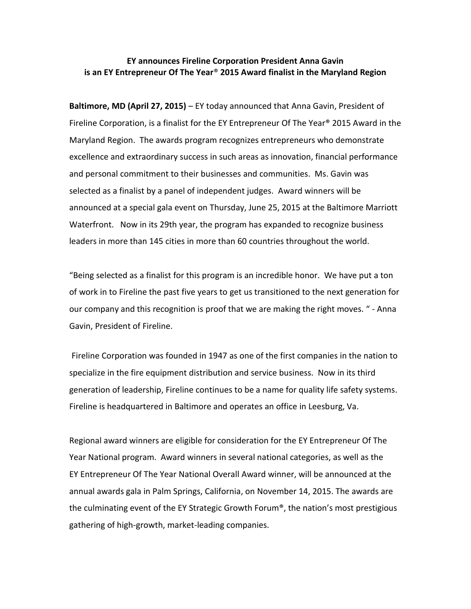### **EY announces Fireline Corporation President Anna Gavin is an EY Entrepreneur Of The Year**® **2015 Award finalist in the Maryland Region**

**Baltimore, MD (April 27, 2015)** – EY today announced that Anna Gavin, President of Fireline Corporation, is a finalist for the EY Entrepreneur Of The Year® 2015 Award in the Maryland Region. The awards program recognizes entrepreneurs who demonstrate excellence and extraordinary success in such areas as innovation, financial performance and personal commitment to their businesses and communities. Ms. Gavin was selected as a finalist by a panel of independent judges. Award winners will be announced at a special gala event on Thursday, June 25, 2015 at the Baltimore Marriott Waterfront. Now in its 29th year, the program has expanded to recognize business leaders in more than 145 cities in more than 60 countries throughout the world.

"Being selected as a finalist for this program is an incredible honor. We have put a ton of work in to Fireline the past five years to get us transitioned to the next generation for our company and this recognition is proof that we are making the right moves. " - Anna Gavin, President of Fireline.

Fireline Corporation was founded in 1947 as one of the first companies in the nation to specialize in the fire equipment distribution and service business. Now in its third generation of leadership, Fireline continues to be a name for quality life safety systems. Fireline is headquartered in Baltimore and operates an office in Leesburg, Va.

Regional award winners are eligible for consideration for the EY Entrepreneur Of The Year National program. Award winners in several national categories, as well as the EY Entrepreneur Of The Year National Overall Award winner, will be announced at the annual awards gala in Palm Springs, California, on November 14, 2015. The awards are the culminating event of the EY Strategic Growth Forum®, the nation's most prestigious gathering of high-growth, market-leading companies.